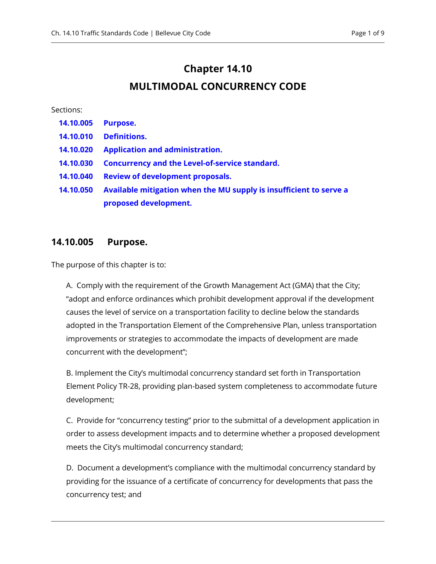# **Chapter 14.10**

## **MULTIMODAL CONCURRENCY CODE**

#### Sections:

| 14.10.005 | <b>Purpose.</b>                                                    |
|-----------|--------------------------------------------------------------------|
| 14.10.010 | <b>Definitions.</b>                                                |
| 14.10.020 | <b>Application and administration.</b>                             |
| 14.10.030 | <b>Concurrency and the Level-of-service standard.</b>              |
| 14.10.040 | <b>Review of development proposals.</b>                            |
| 14.10.050 | Available mitigation when the MU supply is insufficient to serve a |
|           | proposed development.                                              |

#### <span id="page-0-0"></span>**14.10.005 Purpose.**

The purpose of this chapter is to:

A. Comply with the requirement of the Growth Management Act (GMA) that the City; "adopt and enforce ordinances which prohibit development approval if the development causes the level of service on a transportation facility to decline below the standards adopted in the Transportation Element of the Comprehensive Plan, unless transportation improvements or strategies to accommodate the impacts of development are made concurrent with the development";

B. Implement the City's multimodal concurrency standard set forth in Transportation Element Policy TR-28, providing plan-based system completeness to accommodate future development;

C. Provide for "concurrency testing" prior to the submittal of a development application in order to assess development impacts and to determine whether a proposed development meets the City's multimodal concurrency standard;

D. Document a development's compliance with the multimodal concurrency standard by providing for the issuance of a certificate of concurrency for developments that pass the concurrency test; and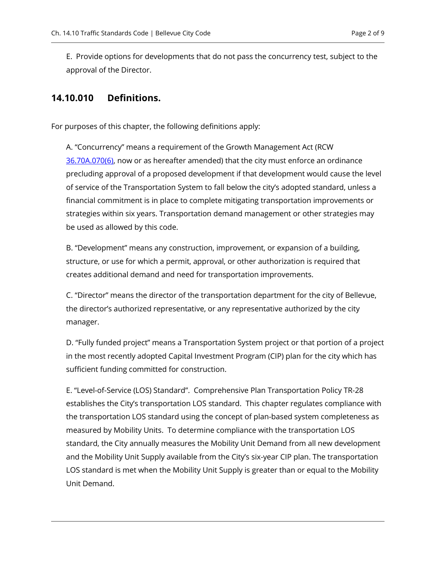E. Provide options for developments that do not pass the concurrency test, subject to the approval of the Director.

## <span id="page-1-0"></span>**14.10.010 Definitions.**

For purposes of this chapter, the following definitions apply:

A. "Concurrency" means a requirement of the Growth Management Act (RCW [36.70A.070\(6\),](https://bellevue.municipal.codes/WA/RCW/36.70A.070(6)) now or as hereafter amended) that the city must enforce an ordinance precluding approval of a proposed development if that development would cause the level of service of the Transportation System to fall below the city's adopted standard, unless a financial commitment is in place to complete mitigating transportation improvements or strategies within six years. Transportation demand management or other strategies may be used as allowed by this code.

B. "Development" means any construction, improvement, or expansion of a building, structure, or use for which a permit, approval, or other authorization is required that creates additional demand and need for transportation improvements.

C. "Director" means the director of the transportation department for the city of Bellevue, the director's authorized representative, or any representative authorized by the city manager.

D. "Fully funded project" means a Transportation System project or that portion of a project in the most recently adopted Capital Investment Program (CIP) plan for the city which has sufficient funding committed for construction.

E. "Level-of-Service (LOS) Standard". Comprehensive Plan Transportation Policy TR-28 establishes the City's transportation LOS standard. This chapter regulates compliance with the transportation LOS standard using the concept of plan-based system completeness as measured by Mobility Units. To determine compliance with the transportation LOS standard, the City annually measures the Mobility Unit Demand from all new development and the Mobility Unit Supply available from the City's six-year CIP plan. The transportation LOS standard is met when the Mobility Unit Supply is greater than or equal to the Mobility Unit Demand.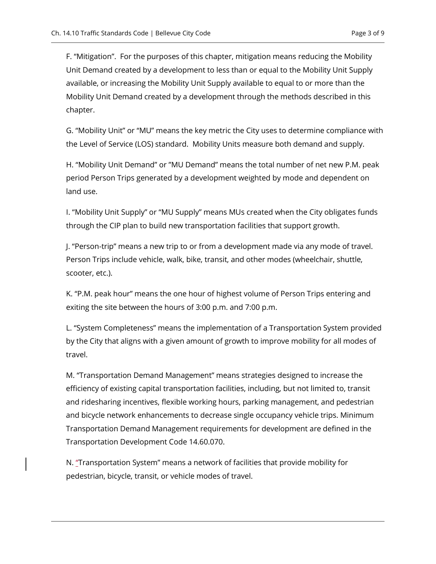F. "Mitigation". For the purposes of this chapter, mitigation means reducing the Mobility Unit Demand created by a development to less than or equal to the Mobility Unit Supply available, or increasing the Mobility Unit Supply available to equal to or more than the Mobility Unit Demand created by a development through the methods described in this chapter.

G. "Mobility Unit" or "MU" means the key metric the City uses to determine compliance with the Level of Service (LOS) standard. Mobility Units measure both demand and supply.

H. "Mobility Unit Demand" or "MU Demand" means the total number of net new P.M. peak period Person Trips generated by a development weighted by mode and dependent on land use.

I. "Mobility Unit Supply" or "MU Supply" means MUs created when the City obligates funds through the CIP plan to build new transportation facilities that support growth.

J. "Person-trip" means a new trip to or from a development made via any mode of travel. Person Trips include vehicle, walk, bike, transit, and other modes (wheelchair, shuttle, scooter, etc.).

K. "P.M. peak hour" means the one hour of highest volume of Person Trips entering and exiting the site between the hours of 3:00 p.m. and 7:00 p.m.

L. "System Completeness" means the implementation of a Transportation System provided by the City that aligns with a given amount of growth to improve mobility for all modes of travel.

M. "Transportation Demand Management" means strategies designed to increase the efficiency of existing capital transportation facilities, including, but not limited to, transit and ridesharing incentives, flexible working hours, parking management, and pedestrian and bicycle network enhancements to decrease single occupancy vehicle trips. Minimum Transportation Demand Management requirements for development are defined in the Transportation Development Code 14.60.070.

N. "Transportation System" means a network of facilities that provide mobility for pedestrian, bicycle, transit, or vehicle modes of travel.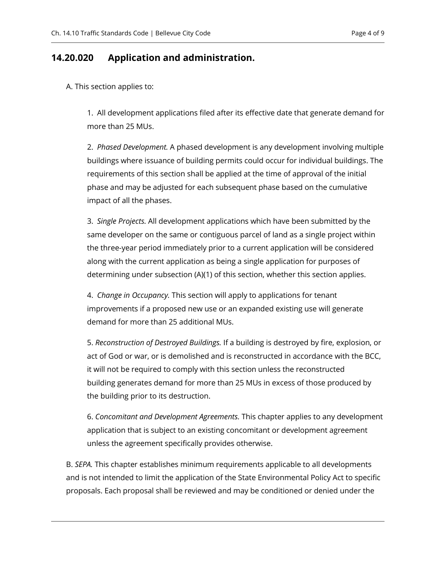### <span id="page-3-0"></span>**14.20.020 Application and administration.**

A. This section applies to:

1. All development applications filed after its effective date that generate demand for more than 25 MUs.

2. *Phased Development.* A phased development is any development involving multiple buildings where issuance of building permits could occur for individual buildings. The requirements of this section shall be applied at the time of approval of the initial phase and may be adjusted for each subsequent phase based on the cumulative impact of all the phases.

3. *Single Projects.* All development applications which have been submitted by the same developer on the same or contiguous parcel of land as a single project within the three-year period immediately prior to a current application will be considered along with the current application as being a single application for purposes of determining under subsection (A)(1) of this section, whether this section applies.

4. *Change in Occupancy.* This section will apply to applications for tenant improvements if a proposed new use or an expanded existing use will generate demand for more than 25 additional MUs.

5. *Reconstruction of Destroyed Buildings.* If a building is destroyed by fire, explosion, or act of God or war, or is demolished and is reconstructed in accordance with the BCC, it will not be required to comply with this section unless the reconstructed building generates demand for more than 25 MUs in excess of those produced by the building prior to its destruction.

6. *Concomitant and Development Agreements.* This chapter applies to any development application that is subject to an existing concomitant or development agreement unless the agreement specifically provides otherwise.

B. *SEPA.* This chapter establishes minimum requirements applicable to all developments and is not intended to limit the application of the State Environmental Policy Act to specific proposals. Each proposal shall be reviewed and may be conditioned or denied under the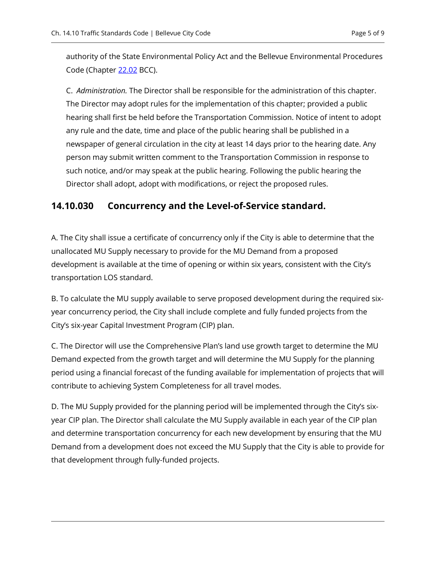authority of the State Environmental Policy Act and the Bellevue Environmental Procedures Code (Chapter [22.02](https://bellevue.municipal.codes/BCC/22.02) BCC).

C. *Administration.* The Director shall be responsible for the administration of this chapter. The Director may adopt rules for the implementation of this chapter; provided a public hearing shall first be held before the Transportation Commission. Notice of intent to adopt any rule and the date, time and place of the public hearing shall be published in a newspaper of general circulation in the city at least 14 days prior to the hearing date. Any person may submit written comment to the Transportation Commission in response to such notice, and/or may speak at the public hearing. Following the public hearing the Director shall adopt, adopt with modifications, or reject the proposed rules.

#### <span id="page-4-0"></span>**14.10.030 Concurrency and the Level-of-Service standard.**

A. The City shall issue a certificate of concurrency only if the City is able to determine that the unallocated MU Supply necessary to provide for the MU Demand from a proposed development is available at the time of opening or within six years, consistent with the City's transportation LOS standard.

B. To calculate the MU supply available to serve proposed development during the required sixyear concurrency period, the City shall include complete and fully funded projects from the City's six-year Capital Investment Program (CIP) plan.

C. The Director will use the Comprehensive Plan's land use growth target to determine the MU Demand expected from the growth target and will determine the MU Supply for the planning period using a financial forecast of the funding available for implementation of projects that will contribute to achieving System Completeness for all travel modes.

D. The MU Supply provided for the planning period will be implemented through the City's sixyear CIP plan. The Director shall calculate the MU Supply available in each year of the CIP plan and determine transportation concurrency for each new development by ensuring that the MU Demand from a development does not exceed the MU Supply that the City is able to provide for that development through fully-funded projects.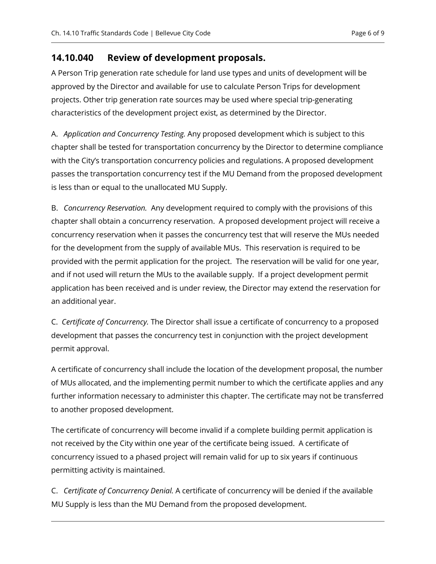## <span id="page-5-0"></span>**14.10.040 Review of development proposals.**

A Person Trip generation rate schedule for land use types and units of development will be approved by the Director and available for use to calculate Person Trips for development projects. Other trip generation rate sources may be used where special trip-generating characteristics of the development project exist, as determined by the Director.

A. *Application and Concurrency Testing.* Any proposed development which is subject to this chapter shall be tested for transportation concurrency by the Director to determine compliance with the City's transportation concurrency policies and regulations. A proposed development passes the transportation concurrency test if the MU Demand from the proposed development is less than or equal to the unallocated MU Supply.

B. *Concurrency Reservation.* Any development required to comply with the provisions of this chapter shall obtain a concurrency reservation. A proposed development project will receive a concurrency reservation when it passes the concurrency test that will reserve the MUs needed for the development from the supply of available MUs. This reservation is required to be provided with the permit application for the project. The reservation will be valid for one year, and if not used will return the MUs to the available supply. If a project development permit application has been received and is under review, the Director may extend the reservation for an additional year.

C. *Certificate of Concurrency.* The Director shall issue a certificate of concurrency to a proposed development that passes the concurrency test in conjunction with the project development permit approval.

A certificate of concurrency shall include the location of the development proposal, the number of MUs allocated, and the implementing permit number to which the certificate applies and any further information necessary to administer this chapter. The certificate may not be transferred to another proposed development.

The certificate of concurrency will become invalid if a complete building permit application is not received by the City within one year of the certificate being issued. A certificate of concurrency issued to a phased project will remain valid for up to six years if continuous permitting activity is maintained.

C. *Certificate of Concurrency Denial.* A certificate of concurrency will be denied if the available MU Supply is less than the MU Demand from the proposed development.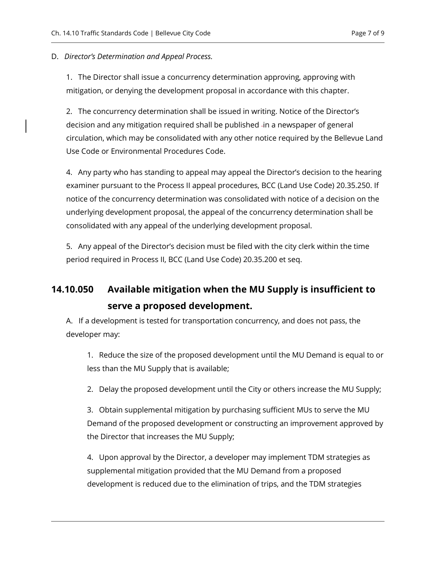#### D. *Director's Determination and Appeal Process.*

1. The Director shall issue a concurrency determination approving, approving with mitigation, or denying the development proposal in accordance with this chapter.

2. The concurrency determination shall be issued in writing. Notice of the Director's decision and any mitigation required shall be published -in a newspaper of general circulation, which may be consolidated with any other notice required by the Bellevue Land Use Code or Environmental Procedures Code.

4. Any party who has standing to appeal may appeal the Director's decision to the hearing examiner pursuant to the Process II appeal procedures, BCC (Land Use Code) 20.35.250. If notice of the concurrency determination was consolidated with notice of a decision on the underlying development proposal, the appeal of the concurrency determination shall be consolidated with any appeal of the underlying development proposal.

5. Any appeal of the Director's decision must be filed with the city clerk within the time period required in Process II, BCC (Land Use Code) [20.35.200](https://bellevue.municipal.codes/LUC/20.35.200) et seq.

# <span id="page-6-0"></span>**14.10.050 Available mitigation when the MU Supply is insufficient to serve a proposed development.**

A. If a development is tested for transportation concurrency, and does not pass, the developer may:

1. Reduce the size of the proposed development until the MU Demand is equal to or less than the MU Supply that is available;

2. Delay the proposed development until the City or others increase the MU Supply;

3. Obtain supplemental mitigation by purchasing sufficient MUs to serve the MU Demand of the proposed development or constructing an improvement approved by the Director that increases the MU Supply;

4. Upon approval by the Director, a developer may implement TDM strategies as supplemental mitigation provided that the MU Demand from a proposed development is reduced due to the elimination of trips, and the TDM strategies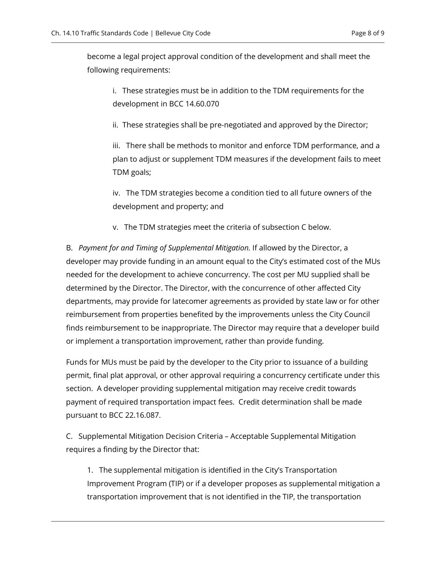become a legal project approval condition of the development and shall meet the following requirements:

i. These strategies must be in addition to the TDM requirements for the development in BCC 14.60.070

ii. These strategies shall be pre-negotiated and approved by the Director;

iii. There shall be methods to monitor and enforce TDM performance, and a plan to adjust or supplement TDM measures if the development fails to meet TDM goals;

iv. The TDM strategies become a condition tied to all future owners of the development and property; and

v. The TDM strategies meet the criteria of subsection [C](#page-7-0) below.

B. *Payment for and Timing of Supplemental Mitigation.* If allowed by the Director, a developer may provide funding in an amount equal to the City's estimated cost of the MUs needed for the development to achieve concurrency. The cost per MU supplied shall be determined by the Director. The Director, with the concurrence of other affected City departments, may provide for latecomer agreements as provided by state law or for other reimbursement from properties benefited by the improvements unless the City Council finds reimbursement to be inappropriate. The Director may require that a developer build or implement a transportation improvement, rather than provide funding.

Funds for MUs must be paid by the developer to the City prior to issuance of a building permit, final plat approval, or other approval requiring a concurrency certificate under this section. A developer providing supplemental mitigation may receive credit towards payment of required transportation impact fees. Credit determination shall be made pursuant to BCC 22.16.087.

<span id="page-7-0"></span>C. Supplemental Mitigation Decision Criteria – Acceptable Supplemental Mitigation requires a finding by the Director that:

1. The supplemental mitigation is identified in the City's Transportation Improvement Program (TIP) or if a developer proposes as supplemental mitigation a transportation improvement that is not identified in the TIP, the transportation